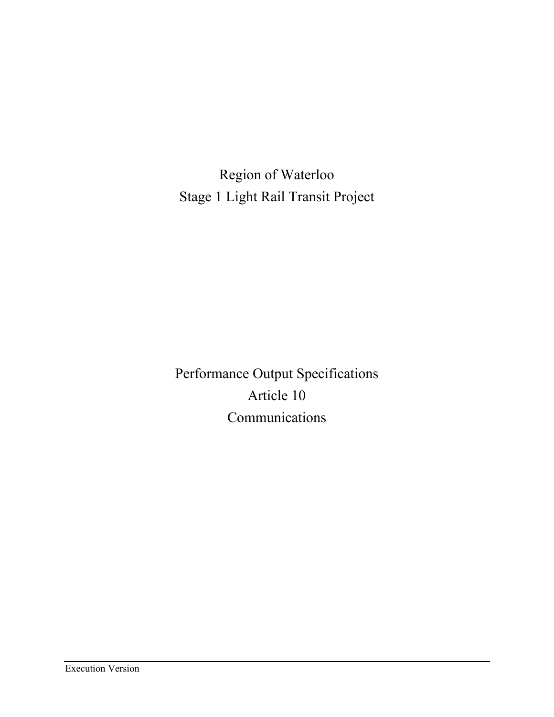Region of Waterloo Stage 1 Light Rail Transit Project

Performance Output Specifications Article 10 Communications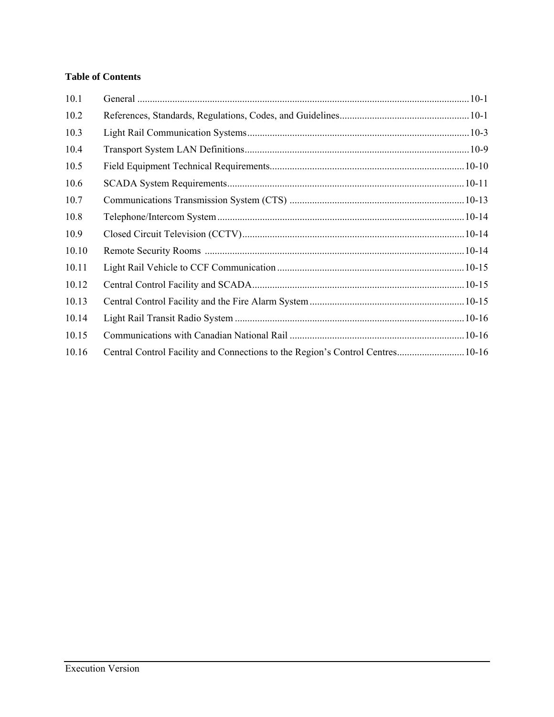# **Table of Contents**

| 10.1  |                                                                                |  |
|-------|--------------------------------------------------------------------------------|--|
| 10.2  |                                                                                |  |
| 10.3  |                                                                                |  |
| 10.4  |                                                                                |  |
| 10.5  |                                                                                |  |
| 10.6  |                                                                                |  |
| 10.7  |                                                                                |  |
| 10.8  |                                                                                |  |
| 10.9  |                                                                                |  |
| 10.10 |                                                                                |  |
| 10.11 |                                                                                |  |
| 10.12 |                                                                                |  |
| 10.13 |                                                                                |  |
| 10.14 |                                                                                |  |
| 10.15 |                                                                                |  |
| 10.16 | Central Control Facility and Connections to the Region's Control Centres 10-16 |  |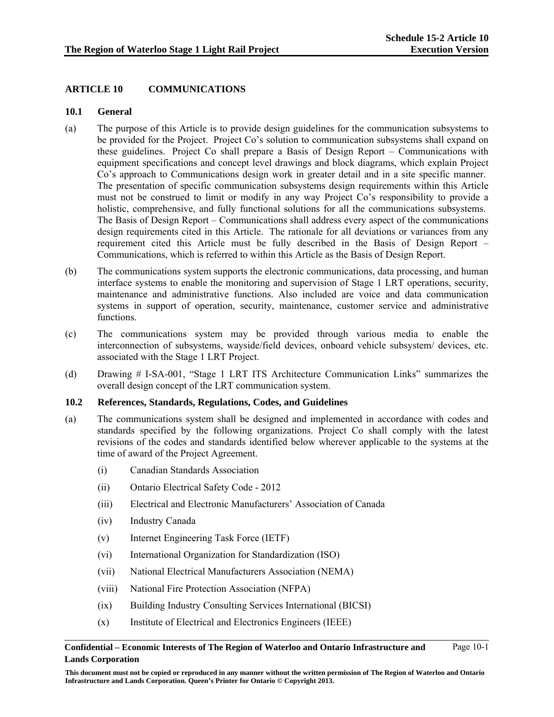# **ARTICLE 10 COMMUNICATIONS**

### **10.1 General**

- (a) The purpose of this Article is to provide design guidelines for the communication subsystems to be provided for the Project. Project Co's solution to communication subsystems shall expand on these guidelines. Project Co shall prepare a Basis of Design Report – Communications with equipment specifications and concept level drawings and block diagrams, which explain Project Co's approach to Communications design work in greater detail and in a site specific manner. The presentation of specific communication subsystems design requirements within this Article must not be construed to limit or modify in any way Project Co's responsibility to provide a holistic, comprehensive, and fully functional solutions for all the communications subsystems. The Basis of Design Report – Communications shall address every aspect of the communications design requirements cited in this Article. The rationale for all deviations or variances from any requirement cited this Article must be fully described in the Basis of Design Report – Communications, which is referred to within this Article as the Basis of Design Report.
- (b) The communications system supports the electronic communications, data processing, and human interface systems to enable the monitoring and supervision of Stage 1 LRT operations, security, maintenance and administrative functions. Also included are voice and data communication systems in support of operation, security, maintenance, customer service and administrative functions.
- (c) The communications system may be provided through various media to enable the interconnection of subsystems, wayside/field devices, onboard vehicle subsystem/ devices, etc. associated with the Stage 1 LRT Project.
- (d) Drawing # I-SA-001, "Stage 1 LRT ITS Architecture Communication Links" summarizes the overall design concept of the LRT communication system.

### **10.2 References, Standards, Regulations, Codes, and Guidelines**

- (a) The communications system shall be designed and implemented in accordance with codes and standards specified by the following organizations. Project Co shall comply with the latest revisions of the codes and standards identified below wherever applicable to the systems at the time of award of the Project Agreement.
	- (i) Canadian Standards Association
	- (ii) Ontario Electrical Safety Code 2012
	- (iii) Electrical and Electronic Manufacturers' Association of Canada
	- (iv) Industry Canada
	- (v) Internet Engineering Task Force (IETF)
	- (vi) International Organization for Standardization (ISO)
	- (vii) National Electrical Manufacturers Association (NEMA)
	- (viii) National Fire Protection Association (NFPA)
	- (ix) Building Industry Consulting Services International (BICSI)
	- (x) Institute of Electrical and Electronics Engineers (IEEE)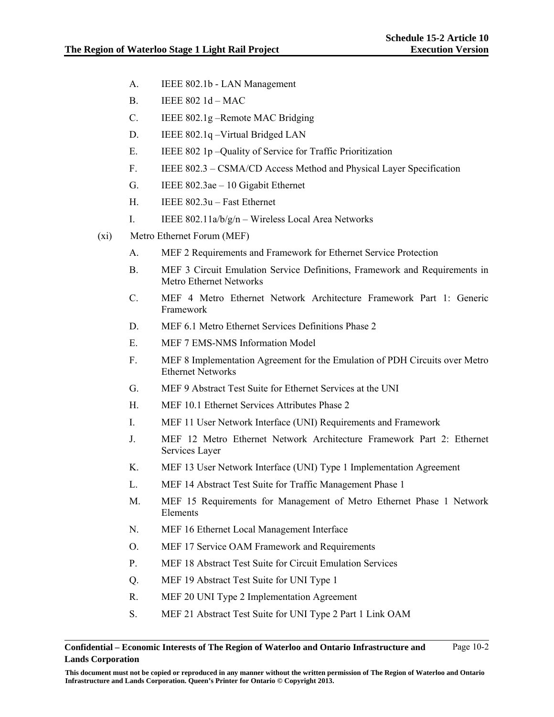- A. IEEE 802.1b LAN Management
- B. IEEE 802 1d MAC
- C. IEEE 802.1g –Remote MAC Bridging
- D. IEEE 802.1q Virtual Bridged LAN
- E. IEEE 802 1p –Quality of Service for Traffic Prioritization
- F. IEEE 802.3 CSMA/CD Access Method and Physical Layer Specification
- G. IEEE 802.3ae 10 Gigabit Ethernet
- H. IEEE 802.3u Fast Ethernet
- I. IEEE  $802.11a/b/g/n Wireless Local Area Networks$
- (xi) Metro Ethernet Forum (MEF)
	- A. MEF 2 Requirements and Framework for Ethernet Service Protection
	- B. MEF 3 Circuit Emulation Service Definitions, Framework and Requirements in Metro Ethernet Networks
	- C. MEF 4 Metro Ethernet Network Architecture Framework Part 1: Generic Framework
	- D. MEF 6.1 Metro Ethernet Services Definitions Phase 2
	- E. MEF 7 EMS-NMS Information Model
	- F. MEF 8 Implementation Agreement for the Emulation of PDH Circuits over Metro Ethernet Networks
	- G. MEF 9 Abstract Test Suite for Ethernet Services at the UNI
	- H. MEF 10.1 Ethernet Services Attributes Phase 2
	- I. MEF 11 User Network Interface (UNI) Requirements and Framework
	- J. MEF 12 Metro Ethernet Network Architecture Framework Part 2: Ethernet Services Layer
	- K. MEF 13 User Network Interface (UNI) Type 1 Implementation Agreement
	- L. MEF 14 Abstract Test Suite for Traffic Management Phase 1
	- M. MEF 15 Requirements for Management of Metro Ethernet Phase 1 Network Elements
	- N. MEF 16 Ethernet Local Management Interface
	- O. MEF 17 Service OAM Framework and Requirements
	- P. MEF 18 Abstract Test Suite for Circuit Emulation Services
	- Q. MEF 19 Abstract Test Suite for UNI Type 1
	- R. MEF 20 UNI Type 2 Implementation Agreement
	- S. MEF 21 Abstract Test Suite for UNI Type 2 Part 1 Link OAM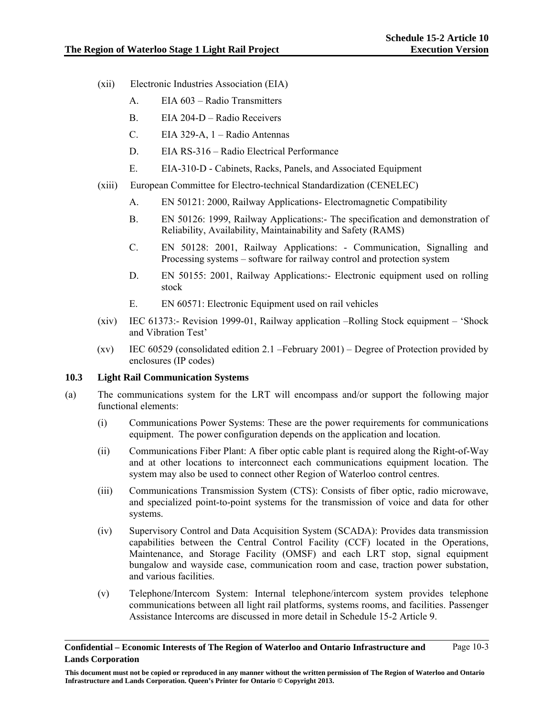- (xii) Electronic Industries Association (EIA)
	- A. EIA 603 Radio Transmitters
	- B. EIA 204-D Radio Receivers
	- C. EIA 329-A, 1 Radio Antennas
	- D. EIA RS-316 Radio Electrical Performance
	- E. EIA-310-D Cabinets, Racks, Panels, and Associated Equipment
- (xiii) European Committee for Electro-technical Standardization (CENELEC)
	- A. EN 50121: 2000, Railway Applications- Electromagnetic Compatibility
	- B. EN 50126: 1999, Railway Applications:- The specification and demonstration of Reliability, Availability, Maintainability and Safety (RAMS)
	- C. EN 50128: 2001, Railway Applications: Communication, Signalling and Processing systems – software for railway control and protection system
	- D. EN 50155: 2001, Railway Applications:- Electronic equipment used on rolling stock
	- E. EN 60571: Electronic Equipment used on rail vehicles
- (xiv) IEC 61373:- Revision 1999-01, Railway application –Rolling Stock equipment 'Shock and Vibration Test'
- (xv) IEC 60529 (consolidated edition 2.1 –February 2001) Degree of Protection provided by enclosures (IP codes)

### **10.3 Light Rail Communication Systems**

- (a) The communications system for the LRT will encompass and/or support the following major functional elements:
	- (i) Communications Power Systems: These are the power requirements for communications equipment. The power configuration depends on the application and location.
	- (ii) Communications Fiber Plant: A fiber optic cable plant is required along the Right-of-Way and at other locations to interconnect each communications equipment location. The system may also be used to connect other Region of Waterloo control centres.
	- (iii) Communications Transmission System (CTS): Consists of fiber optic, radio microwave, and specialized point-to-point systems for the transmission of voice and data for other systems.
	- (iv) Supervisory Control and Data Acquisition System (SCADA): Provides data transmission capabilities between the Central Control Facility (CCF) located in the Operations, Maintenance, and Storage Facility (OMSF) and each LRT stop, signal equipment bungalow and wayside case, communication room and case, traction power substation, and various facilities.
	- (v) Telephone/Intercom System: Internal telephone/intercom system provides telephone communications between all light rail platforms, systems rooms, and facilities. Passenger Assistance Intercoms are discussed in more detail in Schedule 15-2 Article 9.

**Confidential – Economic Interests of The Region of Waterloo and Ontario Infrastructure and Lands Corporation**  Page 10-3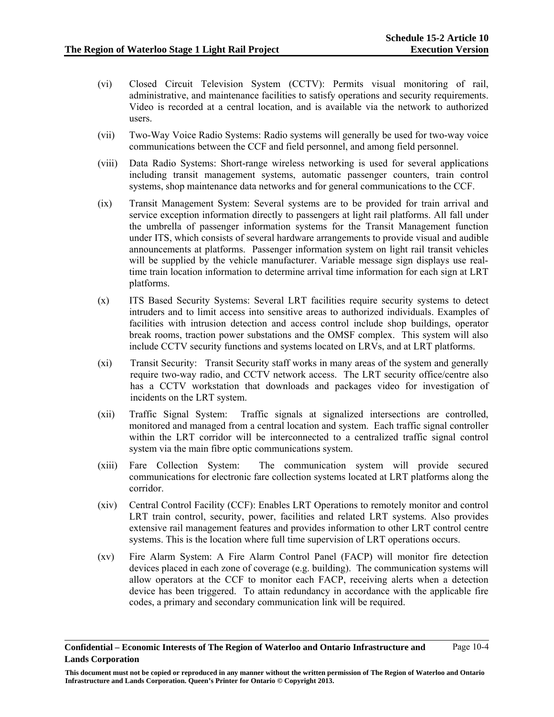- (vi) Closed Circuit Television System (CCTV): Permits visual monitoring of rail, administrative, and maintenance facilities to satisfy operations and security requirements. Video is recorded at a central location, and is available via the network to authorized users.
- (vii) Two-Way Voice Radio Systems: Radio systems will generally be used for two-way voice communications between the CCF and field personnel, and among field personnel.
- (viii) Data Radio Systems: Short-range wireless networking is used for several applications including transit management systems, automatic passenger counters, train control systems, shop maintenance data networks and for general communications to the CCF.
- (ix) Transit Management System: Several systems are to be provided for train arrival and service exception information directly to passengers at light rail platforms. All fall under the umbrella of passenger information systems for the Transit Management function under ITS, which consists of several hardware arrangements to provide visual and audible announcements at platforms. Passenger information system on light rail transit vehicles will be supplied by the vehicle manufacturer. Variable message sign displays use realtime train location information to determine arrival time information for each sign at LRT platforms.
- (x) ITS Based Security Systems: Several LRT facilities require security systems to detect intruders and to limit access into sensitive areas to authorized individuals. Examples of facilities with intrusion detection and access control include shop buildings, operator break rooms, traction power substations and the OMSF complex. This system will also include CCTV security functions and systems located on LRVs, and at LRT platforms.
- (xi) Transit Security: Transit Security staff works in many areas of the system and generally require two-way radio, and CCTV network access. The LRT security office/centre also has a CCTV workstation that downloads and packages video for investigation of incidents on the LRT system.
- (xii) Traffic Signal System: Traffic signals at signalized intersections are controlled, monitored and managed from a central location and system. Each traffic signal controller within the LRT corridor will be interconnected to a centralized traffic signal control system via the main fibre optic communications system.
- (xiii) Fare Collection System: The communication system will provide secured communications for electronic fare collection systems located at LRT platforms along the corridor.
- (xiv) Central Control Facility (CCF): Enables LRT Operations to remotely monitor and control LRT train control, security, power, facilities and related LRT systems. Also provides extensive rail management features and provides information to other LRT control centre systems. This is the location where full time supervision of LRT operations occurs.
- (xv) Fire Alarm System: A Fire Alarm Control Panel (FACP) will monitor fire detection devices placed in each zone of coverage (e.g. building). The communication systems will allow operators at the CCF to monitor each FACP, receiving alerts when a detection device has been triggered. To attain redundancy in accordance with the applicable fire codes, a primary and secondary communication link will be required.

**Confidential – Economic Interests of The Region of Waterloo and Ontario Infrastructure and Lands Corporation**  Page 10-4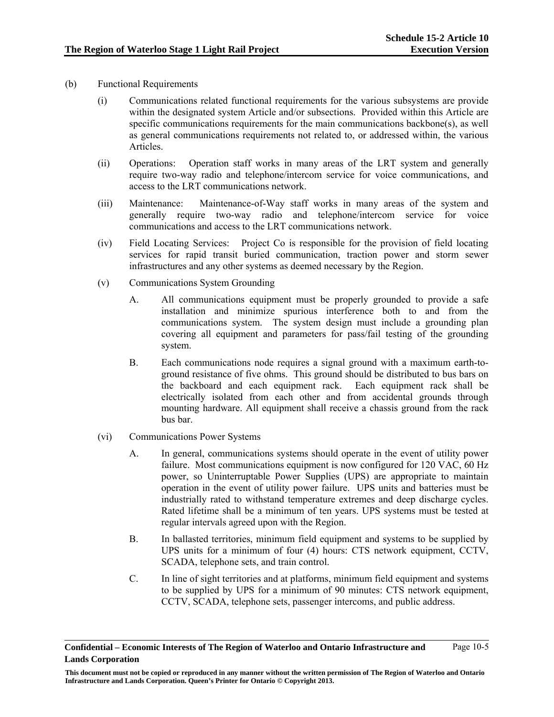- (b) Functional Requirements
	- (i) Communications related functional requirements for the various subsystems are provide within the designated system Article and/or subsections. Provided within this Article are specific communications requirements for the main communications backbone(s), as well as general communications requirements not related to, or addressed within, the various Articles.
	- (ii) Operations: Operation staff works in many areas of the LRT system and generally require two-way radio and telephone/intercom service for voice communications, and access to the LRT communications network.
	- (iii) Maintenance: Maintenance-of-Way staff works in many areas of the system and generally require two-way radio and telephone/intercom service for voice communications and access to the LRT communications network.
	- (iv) Field Locating Services: Project Co is responsible for the provision of field locating services for rapid transit buried communication, traction power and storm sewer infrastructures and any other systems as deemed necessary by the Region.
	- (v) Communications System Grounding
		- A. All communications equipment must be properly grounded to provide a safe installation and minimize spurious interference both to and from the communications system. The system design must include a grounding plan covering all equipment and parameters for pass/fail testing of the grounding system.
		- B. Each communications node requires a signal ground with a maximum earth-toground resistance of five ohms. This ground should be distributed to bus bars on the backboard and each equipment rack. Each equipment rack shall be electrically isolated from each other and from accidental grounds through mounting hardware. All equipment shall receive a chassis ground from the rack bus bar.
	- (vi) Communications Power Systems
		- A. In general, communications systems should operate in the event of utility power failure. Most communications equipment is now configured for 120 VAC, 60 Hz power, so Uninterruptable Power Supplies (UPS) are appropriate to maintain operation in the event of utility power failure. UPS units and batteries must be industrially rated to withstand temperature extremes and deep discharge cycles. Rated lifetime shall be a minimum of ten years. UPS systems must be tested at regular intervals agreed upon with the Region.
		- B. In ballasted territories, minimum field equipment and systems to be supplied by UPS units for a minimum of four (4) hours: CTS network equipment, CCTV, SCADA, telephone sets, and train control.
		- C. In line of sight territories and at platforms, minimum field equipment and systems to be supplied by UPS for a minimum of 90 minutes: CTS network equipment, CCTV, SCADA, telephone sets, passenger intercoms, and public address.

**Confidential – Economic Interests of The Region of Waterloo and Ontario Infrastructure and Lands Corporation**  Page 10-5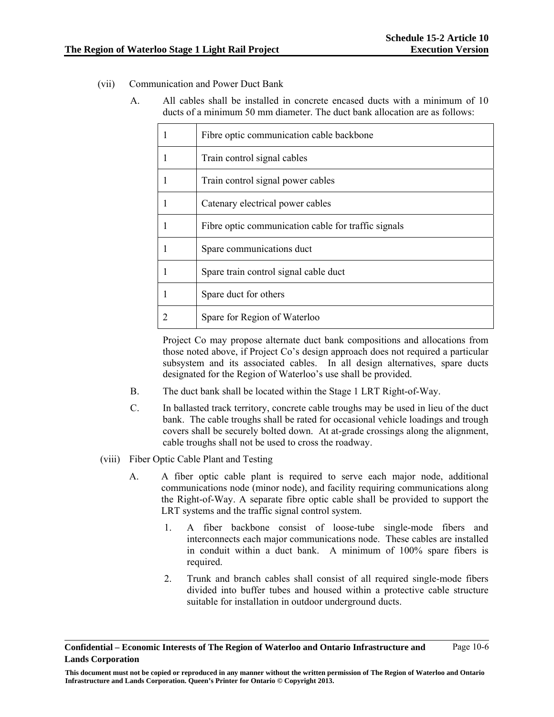- (vii) Communication and Power Duct Bank
	- A. All cables shall be installed in concrete encased ducts with a minimum of 10 ducts of a minimum 50 mm diameter. The duct bank allocation are as follows:

| Fibre optic communication cable backbone            |
|-----------------------------------------------------|
| Train control signal cables                         |
| Train control signal power cables                   |
| Catenary electrical power cables                    |
| Fibre optic communication cable for traffic signals |
| Spare communications duct                           |
| Spare train control signal cable duct               |
| Spare duct for others                               |
| Spare for Region of Waterloo                        |

Project Co may propose alternate duct bank compositions and allocations from those noted above, if Project Co's design approach does not required a particular subsystem and its associated cables. In all design alternatives, spare ducts designated for the Region of Waterloo's use shall be provided.

- B. The duct bank shall be located within the Stage 1 LRT Right-of-Way.
- C. In ballasted track territory, concrete cable troughs may be used in lieu of the duct bank. The cable troughs shall be rated for occasional vehicle loadings and trough covers shall be securely bolted down. At at-grade crossings along the alignment, cable troughs shall not be used to cross the roadway.
- (viii) Fiber Optic Cable Plant and Testing
	- A. A fiber optic cable plant is required to serve each major node, additional communications node (minor node), and facility requiring communications along the Right-of-Way. A separate fibre optic cable shall be provided to support the LRT systems and the traffic signal control system.
		- 1. A fiber backbone consist of loose-tube single-mode fibers and interconnects each major communications node. These cables are installed in conduit within a duct bank. A minimum of 100% spare fibers is required.
		- 2. Trunk and branch cables shall consist of all required single-mode fibers divided into buffer tubes and housed within a protective cable structure suitable for installation in outdoor underground ducts.

**Confidential – Economic Interests of The Region of Waterloo and Ontario Infrastructure and Lands Corporation**  Page 10-6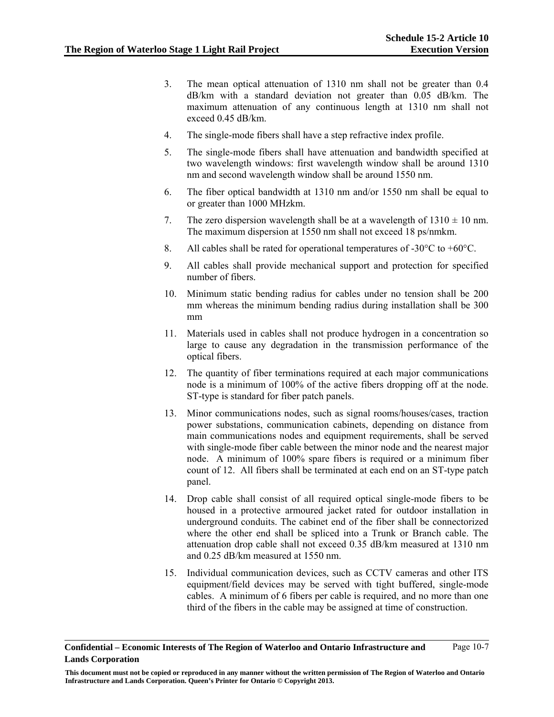- 3. The mean optical attenuation of 1310 nm shall not be greater than 0.4 dB/km with a standard deviation not greater than 0.05 dB/km. The maximum attenuation of any continuous length at 1310 nm shall not exceed 0.45 dB/km.
- 4. The single-mode fibers shall have a step refractive index profile.
- 5. The single-mode fibers shall have attenuation and bandwidth specified at two wavelength windows: first wavelength window shall be around 1310 nm and second wavelength window shall be around 1550 nm.
- 6. The fiber optical bandwidth at 1310 nm and/or 1550 nm shall be equal to or greater than 1000 MHzkm.
- 7. The zero dispersion wavelength shall be at a wavelength of  $1310 \pm 10$  nm. The maximum dispersion at 1550 nm shall not exceed 18 ps/nmkm.
- 8. All cables shall be rated for operational temperatures of  $-30^{\circ}$ C to  $+60^{\circ}$ C.
- 9. All cables shall provide mechanical support and protection for specified number of fibers.
- 10. Minimum static bending radius for cables under no tension shall be 200 mm whereas the minimum bending radius during installation shall be 300 mm
- 11. Materials used in cables shall not produce hydrogen in a concentration so large to cause any degradation in the transmission performance of the optical fibers.
- 12. The quantity of fiber terminations required at each major communications node is a minimum of 100% of the active fibers dropping off at the node. ST-type is standard for fiber patch panels.
- 13. Minor communications nodes, such as signal rooms/houses/cases, traction power substations, communication cabinets, depending on distance from main communications nodes and equipment requirements, shall be served with single-mode fiber cable between the minor node and the nearest major node. A minimum of 100% spare fibers is required or a minimum fiber count of 12. All fibers shall be terminated at each end on an ST-type patch panel.
- 14. Drop cable shall consist of all required optical single-mode fibers to be housed in a protective armoured jacket rated for outdoor installation in underground conduits. The cabinet end of the fiber shall be connectorized where the other end shall be spliced into a Trunk or Branch cable. The attenuation drop cable shall not exceed 0.35 dB/km measured at 1310 nm and 0.25 dB/km measured at 1550 nm.
- 15. Individual communication devices, such as CCTV cameras and other ITS equipment/field devices may be served with tight buffered, single-mode cables. A minimum of 6 fibers per cable is required, and no more than one third of the fibers in the cable may be assigned at time of construction.

**Confidential – Economic Interests of The Region of Waterloo and Ontario Infrastructure and Lands Corporation**  Page 10-7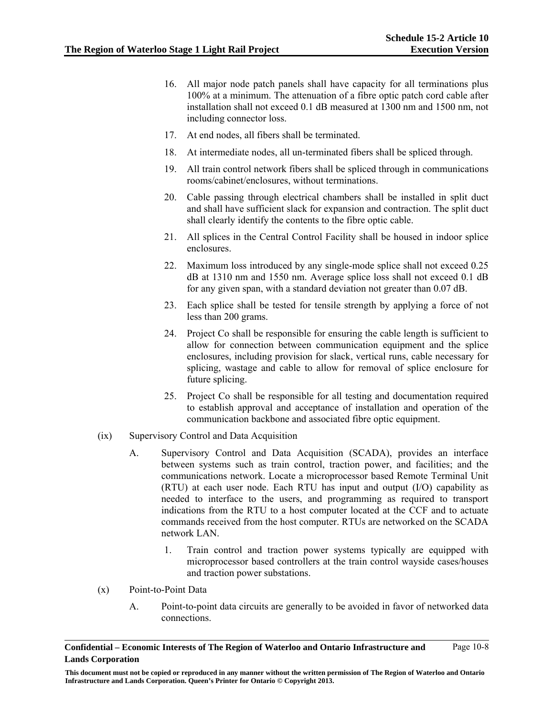- 16. All major node patch panels shall have capacity for all terminations plus 100% at a minimum. The attenuation of a fibre optic patch cord cable after installation shall not exceed 0.1 dB measured at 1300 nm and 1500 nm, not including connector loss.
- 17. At end nodes, all fibers shall be terminated.
- 18. At intermediate nodes, all un-terminated fibers shall be spliced through.
- 19. All train control network fibers shall be spliced through in communications rooms/cabinet/enclosures, without terminations.
- 20. Cable passing through electrical chambers shall be installed in split duct and shall have sufficient slack for expansion and contraction. The split duct shall clearly identify the contents to the fibre optic cable.
- 21. All splices in the Central Control Facility shall be housed in indoor splice enclosures.
- 22. Maximum loss introduced by any single-mode splice shall not exceed 0.25 dB at 1310 nm and 1550 nm. Average splice loss shall not exceed 0.1 dB for any given span, with a standard deviation not greater than 0.07 dB.
- 23. Each splice shall be tested for tensile strength by applying a force of not less than 200 grams.
- 24. Project Co shall be responsible for ensuring the cable length is sufficient to allow for connection between communication equipment and the splice enclosures, including provision for slack, vertical runs, cable necessary for splicing, wastage and cable to allow for removal of splice enclosure for future splicing.
- 25. Project Co shall be responsible for all testing and documentation required to establish approval and acceptance of installation and operation of the communication backbone and associated fibre optic equipment.
- (ix) Supervisory Control and Data Acquisition
	- A. Supervisory Control and Data Acquisition (SCADA), provides an interface between systems such as train control, traction power, and facilities; and the communications network. Locate a microprocessor based Remote Terminal Unit (RTU) at each user node. Each RTU has input and output (I/O) capability as needed to interface to the users, and programming as required to transport indications from the RTU to a host computer located at the CCF and to actuate commands received from the host computer. RTUs are networked on the SCADA network LAN.
		- 1. Train control and traction power systems typically are equipped with microprocessor based controllers at the train control wayside cases/houses and traction power substations.
- (x) Point-to-Point Data
	- A. Point-to-point data circuits are generally to be avoided in favor of networked data connections.

**Confidential – Economic Interests of The Region of Waterloo and Ontario Infrastructure and Lands Corporation**  Page 10-8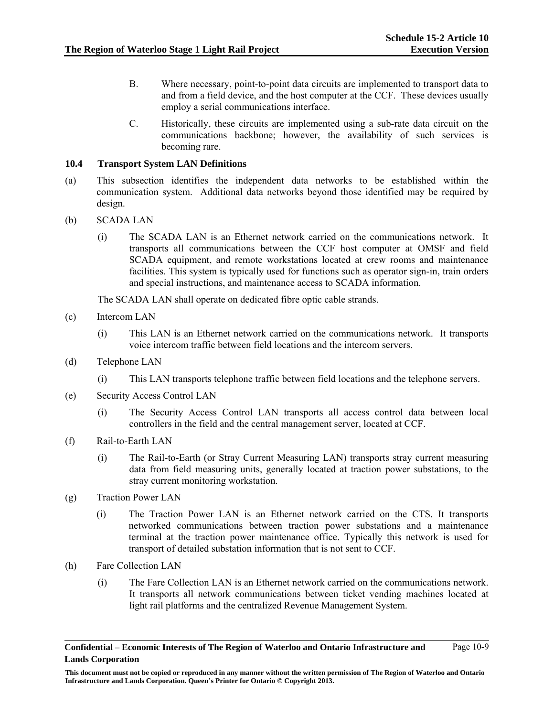- B. Where necessary, point-to-point data circuits are implemented to transport data to and from a field device, and the host computer at the CCF. These devices usually employ a serial communications interface.
- C. Historically, these circuits are implemented using a sub-rate data circuit on the communications backbone; however, the availability of such services is becoming rare.

### **10.4 Transport System LAN Definitions**

- (a) This subsection identifies the independent data networks to be established within the communication system. Additional data networks beyond those identified may be required by design.
- (b) SCADA LAN
	- (i) The SCADA LAN is an Ethernet network carried on the communications network. It transports all communications between the CCF host computer at OMSF and field SCADA equipment, and remote workstations located at crew rooms and maintenance facilities. This system is typically used for functions such as operator sign-in, train orders and special instructions, and maintenance access to SCADA information.

The SCADA LAN shall operate on dedicated fibre optic cable strands.

- (c) Intercom LAN
	- (i) This LAN is an Ethernet network carried on the communications network. It transports voice intercom traffic between field locations and the intercom servers.
- (d) Telephone LAN
	- (i) This LAN transports telephone traffic between field locations and the telephone servers.
- (e) Security Access Control LAN
	- (i) The Security Access Control LAN transports all access control data between local controllers in the field and the central management server, located at CCF.
- (f) Rail-to-Earth LAN
	- (i) The Rail-to-Earth (or Stray Current Measuring LAN) transports stray current measuring data from field measuring units, generally located at traction power substations, to the stray current monitoring workstation.
- (g) Traction Power LAN
	- (i) The Traction Power LAN is an Ethernet network carried on the CTS. It transports networked communications between traction power substations and a maintenance terminal at the traction power maintenance office. Typically this network is used for transport of detailed substation information that is not sent to CCF.
- (h) Fare Collection LAN
	- (i) The Fare Collection LAN is an Ethernet network carried on the communications network. It transports all network communications between ticket vending machines located at light rail platforms and the centralized Revenue Management System.

**This document must not be copied or reproduced in any manner without the written permission of The Region of Waterloo and Ontario Infrastructure and Lands Corporation. Queen's Printer for Ontario © Copyright 2013.**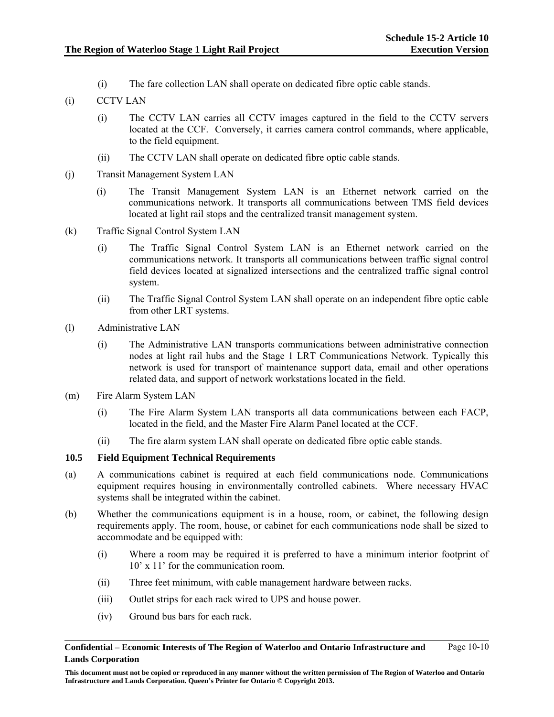(i) The fare collection LAN shall operate on dedicated fibre optic cable stands.

# (i) CCTV LAN

- (i) The CCTV LAN carries all CCTV images captured in the field to the CCTV servers located at the CCF. Conversely, it carries camera control commands, where applicable, to the field equipment.
- (ii) The CCTV LAN shall operate on dedicated fibre optic cable stands.
- (j) Transit Management System LAN
	- (i) The Transit Management System LAN is an Ethernet network carried on the communications network. It transports all communications between TMS field devices located at light rail stops and the centralized transit management system.
- (k) Traffic Signal Control System LAN
	- (i) The Traffic Signal Control System LAN is an Ethernet network carried on the communications network. It transports all communications between traffic signal control field devices located at signalized intersections and the centralized traffic signal control system.
	- (ii) The Traffic Signal Control System LAN shall operate on an independent fibre optic cable from other LRT systems.
- (l) Administrative LAN
	- (i) The Administrative LAN transports communications between administrative connection nodes at light rail hubs and the Stage 1 LRT Communications Network. Typically this network is used for transport of maintenance support data, email and other operations related data, and support of network workstations located in the field.
- (m) Fire Alarm System LAN
	- (i) The Fire Alarm System LAN transports all data communications between each FACP, located in the field, and the Master Fire Alarm Panel located at the CCF.
	- (ii) The fire alarm system LAN shall operate on dedicated fibre optic cable stands.

### **10.5 Field Equipment Technical Requirements**

- (a) A communications cabinet is required at each field communications node. Communications equipment requires housing in environmentally controlled cabinets. Where necessary HVAC systems shall be integrated within the cabinet.
- (b) Whether the communications equipment is in a house, room, or cabinet, the following design requirements apply. The room, house, or cabinet for each communications node shall be sized to accommodate and be equipped with:
	- (i) Where a room may be required it is preferred to have a minimum interior footprint of 10' x 11' for the communication room.
	- (ii) Three feet minimum, with cable management hardware between racks.
	- (iii) Outlet strips for each rack wired to UPS and house power.
	- (iv) Ground bus bars for each rack.

**Confidential – Economic Interests of The Region of Waterloo and Ontario Infrastructure and Lands Corporation**  Page 10-10

**This document must not be copied or reproduced in any manner without the written permission of The Region of Waterloo and Ontario Infrastructure and Lands Corporation. Queen's Printer for Ontario © Copyright 2013.**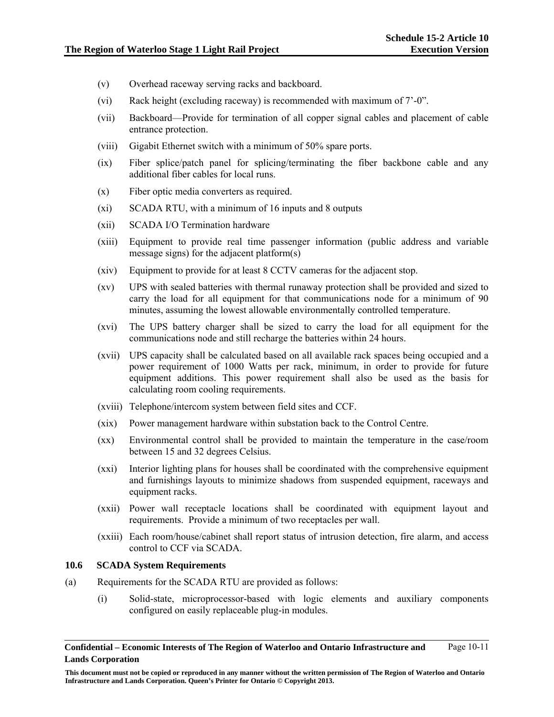- (v) Overhead raceway serving racks and backboard.
- (vi) Rack height (excluding raceway) is recommended with maximum of 7'-0".
- (vii) Backboard—Provide for termination of all copper signal cables and placement of cable entrance protection.
- (viii) Gigabit Ethernet switch with a minimum of 50% spare ports.
- (ix) Fiber splice/patch panel for splicing/terminating the fiber backbone cable and any additional fiber cables for local runs.
- (x) Fiber optic media converters as required.
- (xi) SCADA RTU, with a minimum of 16 inputs and 8 outputs
- (xii) SCADA I/O Termination hardware
- (xiii) Equipment to provide real time passenger information (public address and variable message signs) for the adjacent platform(s)
- (xiv) Equipment to provide for at least 8 CCTV cameras for the adjacent stop.
- (xv) UPS with sealed batteries with thermal runaway protection shall be provided and sized to carry the load for all equipment for that communications node for a minimum of 90 minutes, assuming the lowest allowable environmentally controlled temperature.
- (xvi) The UPS battery charger shall be sized to carry the load for all equipment for the communications node and still recharge the batteries within 24 hours.
- (xvii) UPS capacity shall be calculated based on all available rack spaces being occupied and a power requirement of 1000 Watts per rack, minimum, in order to provide for future equipment additions. This power requirement shall also be used as the basis for calculating room cooling requirements.
- (xviii) Telephone/intercom system between field sites and CCF.
- (xix) Power management hardware within substation back to the Control Centre.
- (xx) Environmental control shall be provided to maintain the temperature in the case/room between 15 and 32 degrees Celsius.
- (xxi) Interior lighting plans for houses shall be coordinated with the comprehensive equipment and furnishings layouts to minimize shadows from suspended equipment, raceways and equipment racks.
- (xxii) Power wall receptacle locations shall be coordinated with equipment layout and requirements. Provide a minimum of two receptacles per wall.
- (xxiii) Each room/house/cabinet shall report status of intrusion detection, fire alarm, and access control to CCF via SCADA.

### **10.6 SCADA System Requirements**

- (a) Requirements for the SCADA RTU are provided as follows:
	- (i) Solid-state, microprocessor-based with logic elements and auxiliary components configured on easily replaceable plug-in modules.

**Confidential – Economic Interests of The Region of Waterloo and Ontario Infrastructure and Lands Corporation**  Page 10-11

**This document must not be copied or reproduced in any manner without the written permission of The Region of Waterloo and Ontario Infrastructure and Lands Corporation. Queen's Printer for Ontario © Copyright 2013.**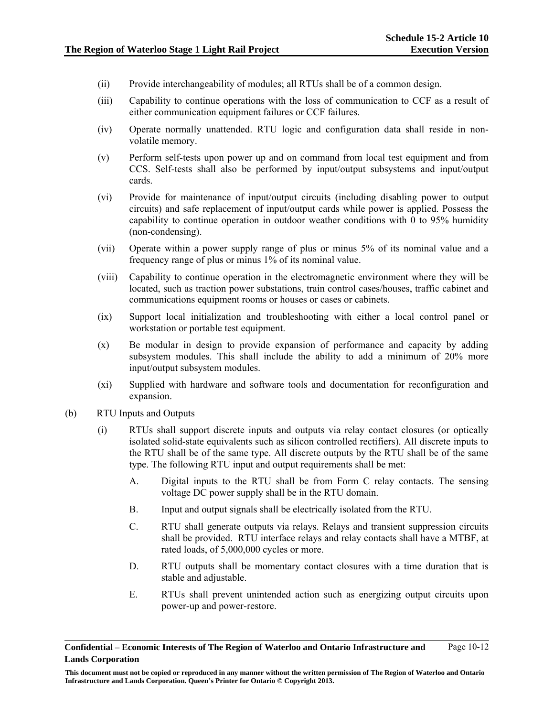- (ii) Provide interchangeability of modules; all RTUs shall be of a common design.
- (iii) Capability to continue operations with the loss of communication to CCF as a result of either communication equipment failures or CCF failures.
- (iv) Operate normally unattended. RTU logic and configuration data shall reside in nonvolatile memory.
- (v) Perform self-tests upon power up and on command from local test equipment and from CCS. Self-tests shall also be performed by input/output subsystems and input/output cards.
- (vi) Provide for maintenance of input/output circuits (including disabling power to output circuits) and safe replacement of input/output cards while power is applied. Possess the capability to continue operation in outdoor weather conditions with 0 to 95% humidity (non-condensing).
- (vii) Operate within a power supply range of plus or minus 5% of its nominal value and a frequency range of plus or minus 1% of its nominal value.
- (viii) Capability to continue operation in the electromagnetic environment where they will be located, such as traction power substations, train control cases/houses, traffic cabinet and communications equipment rooms or houses or cases or cabinets.
- (ix) Support local initialization and troubleshooting with either a local control panel or workstation or portable test equipment.
- (x) Be modular in design to provide expansion of performance and capacity by adding subsystem modules. This shall include the ability to add a minimum of 20% more input/output subsystem modules.
- (xi) Supplied with hardware and software tools and documentation for reconfiguration and expansion.
- (b) RTU Inputs and Outputs
	- (i) RTUs shall support discrete inputs and outputs via relay contact closures (or optically isolated solid-state equivalents such as silicon controlled rectifiers). All discrete inputs to the RTU shall be of the same type. All discrete outputs by the RTU shall be of the same type. The following RTU input and output requirements shall be met:
		- A. Digital inputs to the RTU shall be from Form C relay contacts. The sensing voltage DC power supply shall be in the RTU domain.
		- B. Input and output signals shall be electrically isolated from the RTU.
		- C. RTU shall generate outputs via relays. Relays and transient suppression circuits shall be provided. RTU interface relays and relay contacts shall have a MTBF, at rated loads, of 5,000,000 cycles or more.
		- D. RTU outputs shall be momentary contact closures with a time duration that is stable and adjustable.
		- E. RTUs shall prevent unintended action such as energizing output circuits upon power-up and power-restore.

**Confidential – Economic Interests of The Region of Waterloo and Ontario Infrastructure and Lands Corporation**  Page 10-12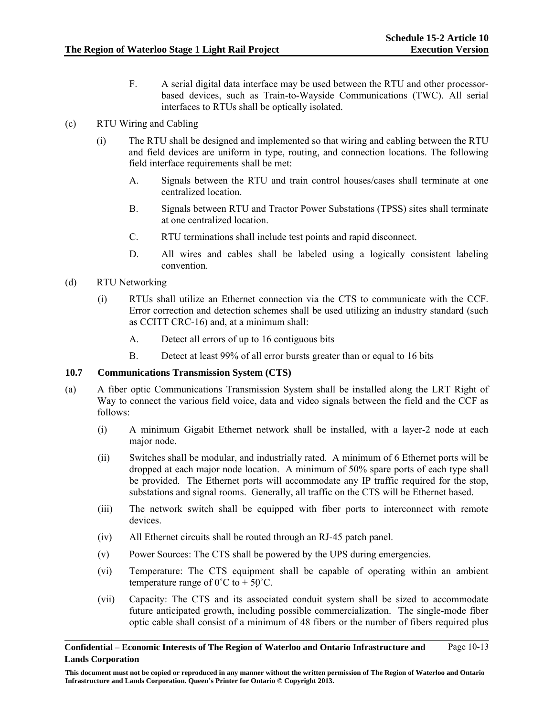F. A serial digital data interface may be used between the RTU and other processorbased devices, such as Train-to-Wayside Communications (TWC). All serial interfaces to RTUs shall be optically isolated.

# (c) RTU Wiring and Cabling

- (i) The RTU shall be designed and implemented so that wiring and cabling between the RTU and field devices are uniform in type, routing, and connection locations. The following field interface requirements shall be met:
	- A. Signals between the RTU and train control houses/cases shall terminate at one centralized location.
	- B. Signals between RTU and Tractor Power Substations (TPSS) sites shall terminate at one centralized location.
	- C. RTU terminations shall include test points and rapid disconnect.
	- D. All wires and cables shall be labeled using a logically consistent labeling convention.
- (d) RTU Networking
	- (i) RTUs shall utilize an Ethernet connection via the CTS to communicate with the CCF. Error correction and detection schemes shall be used utilizing an industry standard (such as CCITT CRC-16) and, at a minimum shall:
		- A. Detect all errors of up to 16 contiguous bits
		- B. Detect at least 99% of all error bursts greater than or equal to 16 bits

### **10.7 Communications Transmission System (CTS)**

- (a) A fiber optic Communications Transmission System shall be installed along the LRT Right of Way to connect the various field voice, data and video signals between the field and the CCF as follows:
	- (i) A minimum Gigabit Ethernet network shall be installed, with a layer-2 node at each major node.
	- (ii) Switches shall be modular, and industrially rated. A minimum of 6 Ethernet ports will be dropped at each major node location. A minimum of 50% spare ports of each type shall be provided. The Ethernet ports will accommodate any IP traffic required for the stop, substations and signal rooms. Generally, all traffic on the CTS will be Ethernet based.
	- (iii) The network switch shall be equipped with fiber ports to interconnect with remote devices.
	- (iv) All Ethernet circuits shall be routed through an RJ-45 patch panel.
	- (v) Power Sources: The CTS shall be powered by the UPS during emergencies.
	- (vi) Temperature: The CTS equipment shall be capable of operating within an ambient temperature range of  $0^{\circ}$ C to + 50 $^{\circ}$ C.
	- (vii) Capacity: The CTS and its associated conduit system shall be sized to accommodate future anticipated growth, including possible commercialization. The single-mode fiber optic cable shall consist of a minimum of 48 fibers or the number of fibers required plus

**This document must not be copied or reproduced in any manner without the written permission of The Region of Waterloo and Ontario Infrastructure and Lands Corporation. Queen's Printer for Ontario © Copyright 2013.**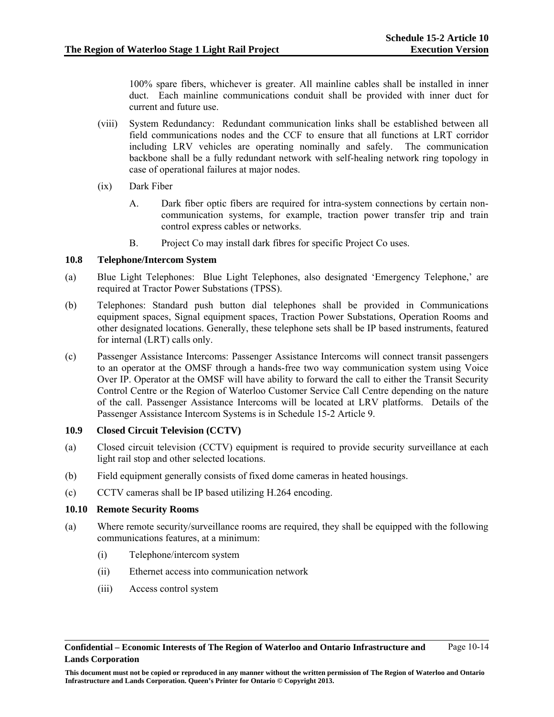100% spare fibers, whichever is greater. All mainline cables shall be installed in inner duct. Each mainline communications conduit shall be provided with inner duct for current and future use.

- (viii) System Redundancy: Redundant communication links shall be established between all field communications nodes and the CCF to ensure that all functions at LRT corridor including LRV vehicles are operating nominally and safely. The communication backbone shall be a fully redundant network with self-healing network ring topology in case of operational failures at major nodes.
- (ix) Dark Fiber
	- A. Dark fiber optic fibers are required for intra-system connections by certain noncommunication systems, for example, traction power transfer trip and train control express cables or networks.
	- B. Project Co may install dark fibres for specific Project Co uses.

### **10.8 Telephone/Intercom System**

- (a) Blue Light Telephones: Blue Light Telephones, also designated 'Emergency Telephone,' are required at Tractor Power Substations (TPSS).
- (b) Telephones: Standard push button dial telephones shall be provided in Communications equipment spaces, Signal equipment spaces, Traction Power Substations, Operation Rooms and other designated locations. Generally, these telephone sets shall be IP based instruments, featured for internal (LRT) calls only.
- (c) Passenger Assistance Intercoms: Passenger Assistance Intercoms will connect transit passengers to an operator at the OMSF through a hands-free two way communication system using Voice Over IP. Operator at the OMSF will have ability to forward the call to either the Transit Security Control Centre or the Region of Waterloo Customer Service Call Centre depending on the nature of the call. Passenger Assistance Intercoms will be located at LRV platforms. Details of the Passenger Assistance Intercom Systems is in Schedule 15-2 Article 9.

### **10.9 Closed Circuit Television (CCTV)**

- (a) Closed circuit television (CCTV) equipment is required to provide security surveillance at each light rail stop and other selected locations.
- (b) Field equipment generally consists of fixed dome cameras in heated housings.
- (c) CCTV cameras shall be IP based utilizing H.264 encoding.

### **10.10 Remote Security Rooms**

- (a) Where remote security/surveillance rooms are required, they shall be equipped with the following communications features, at a minimum:
	- (i) Telephone/intercom system
	- (ii) Ethernet access into communication network
	- (iii) Access control system

**This document must not be copied or reproduced in any manner without the written permission of The Region of Waterloo and Ontario Infrastructure and Lands Corporation. Queen's Printer for Ontario © Copyright 2013.**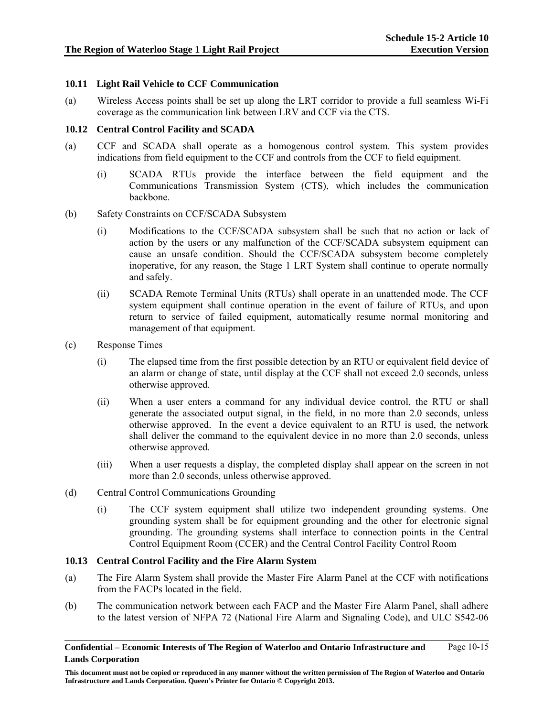### **10.11 Light Rail Vehicle to CCF Communication**

(a) Wireless Access points shall be set up along the LRT corridor to provide a full seamless Wi-Fi coverage as the communication link between LRV and CCF via the CTS.

### **10.12 Central Control Facility and SCADA**

- (a) CCF and SCADA shall operate as a homogenous control system. This system provides indications from field equipment to the CCF and controls from the CCF to field equipment.
	- (i) SCADA RTUs provide the interface between the field equipment and the Communications Transmission System (CTS), which includes the communication backbone.

### (b) Safety Constraints on CCF/SCADA Subsystem

- (i) Modifications to the CCF/SCADA subsystem shall be such that no action or lack of action by the users or any malfunction of the CCF/SCADA subsystem equipment can cause an unsafe condition. Should the CCF/SCADA subsystem become completely inoperative, for any reason, the Stage 1 LRT System shall continue to operate normally and safely.
- (ii) SCADA Remote Terminal Units (RTUs) shall operate in an unattended mode. The CCF system equipment shall continue operation in the event of failure of RTUs, and upon return to service of failed equipment, automatically resume normal monitoring and management of that equipment.
- (c) Response Times
	- (i) The elapsed time from the first possible detection by an RTU or equivalent field device of an alarm or change of state, until display at the CCF shall not exceed 2.0 seconds, unless otherwise approved.
	- (ii) When a user enters a command for any individual device control, the RTU or shall generate the associated output signal, in the field, in no more than 2.0 seconds, unless otherwise approved. In the event a device equivalent to an RTU is used, the network shall deliver the command to the equivalent device in no more than 2.0 seconds, unless otherwise approved.
	- (iii) When a user requests a display, the completed display shall appear on the screen in not more than 2.0 seconds, unless otherwise approved.
- (d) Central Control Communications Grounding
	- (i) The CCF system equipment shall utilize two independent grounding systems. One grounding system shall be for equipment grounding and the other for electronic signal grounding. The grounding systems shall interface to connection points in the Central Control Equipment Room (CCER) and the Central Control Facility Control Room

### **10.13 Central Control Facility and the Fire Alarm System**

- (a) The Fire Alarm System shall provide the Master Fire Alarm Panel at the CCF with notifications from the FACPs located in the field.
- (b) The communication network between each FACP and the Master Fire Alarm Panel, shall adhere to the latest version of NFPA 72 (National Fire Alarm and Signaling Code), and ULC S542-06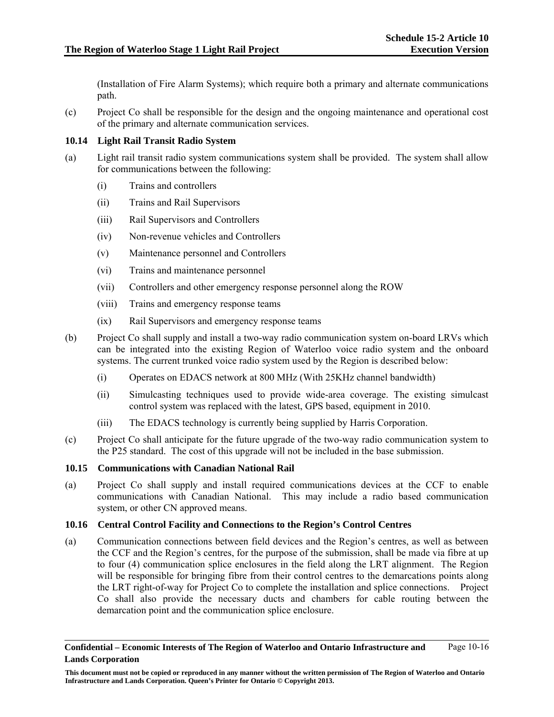(Installation of Fire Alarm Systems); which require both a primary and alternate communications path.

(c) Project Co shall be responsible for the design and the ongoing maintenance and operational cost of the primary and alternate communication services.

### **10.14 Light Rail Transit Radio System**

- (a) Light rail transit radio system communications system shall be provided. The system shall allow for communications between the following:
	- (i) Trains and controllers
	- (ii) Trains and Rail Supervisors
	- (iii) Rail Supervisors and Controllers
	- (iv) Non-revenue vehicles and Controllers
	- (v) Maintenance personnel and Controllers
	- (vi) Trains and maintenance personnel
	- (vii) Controllers and other emergency response personnel along the ROW
	- (viii) Trains and emergency response teams
	- (ix) Rail Supervisors and emergency response teams
- (b) Project Co shall supply and install a two-way radio communication system on-board LRVs which can be integrated into the existing Region of Waterloo voice radio system and the onboard systems. The current trunked voice radio system used by the Region is described below:
	- (i) Operates on EDACS network at 800 MHz (With 25KHz channel bandwidth)
	- (ii) Simulcasting techniques used to provide wide-area coverage. The existing simulcast control system was replaced with the latest, GPS based, equipment in 2010.
	- (iii) The EDACS technology is currently being supplied by Harris Corporation.
- (c) Project Co shall anticipate for the future upgrade of the two-way radio communication system to the P25 standard. The cost of this upgrade will not be included in the base submission.

### **10.15 Communications with Canadian National Rail**

(a) Project Co shall supply and install required communications devices at the CCF to enable communications with Canadian National. This may include a radio based communication system, or other CN approved means.

### **10.16 Central Control Facility and Connections to the Region's Control Centres**

(a) Communication connections between field devices and the Region's centres, as well as between the CCF and the Region's centres, for the purpose of the submission, shall be made via fibre at up to four (4) communication splice enclosures in the field along the LRT alignment. The Region will be responsible for bringing fibre from their control centres to the demarcations points along the LRT right-of-way for Project Co to complete the installation and splice connections. Project Co shall also provide the necessary ducts and chambers for cable routing between the demarcation point and the communication splice enclosure.